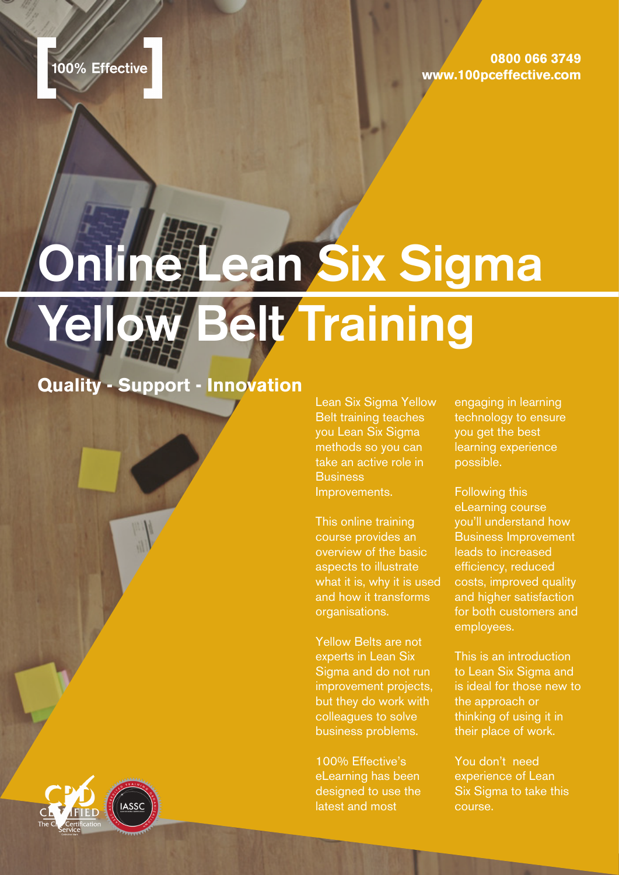**0800 066 3749 www.100pceffective.com**

# **Online Lean Six Sigma Yellow Belt Training**

### **Quality - Support - Innovation**

Lean Six Sigma Yellow Belt training teaches you Lean Six Sigma methods so you can take an active role in **Business** Improvements.

This online training course provides an overview of the basic aspects to illustrate what it is, why it is used and how it transforms organisations.

Yellow Belts are not experts in Lean Six Sigma and do not run improvement projects, but they do work with colleagues to solve business problems.

100% Effective's eLearning has been designed to use the latest and most

engaging in learning technology to ensure you get the best learning experience possible.

Following this eLearning course you'll understand how Business Improvement leads to increased efficiency, reduced costs, improved quality and higher satisfaction for both customers and employees.

This is an introduction to Lean Six Sigma and is ideal for those new to the approach or thinking of using it in their place of work.

You don't need experience of Lean Six Sigma to take this course.

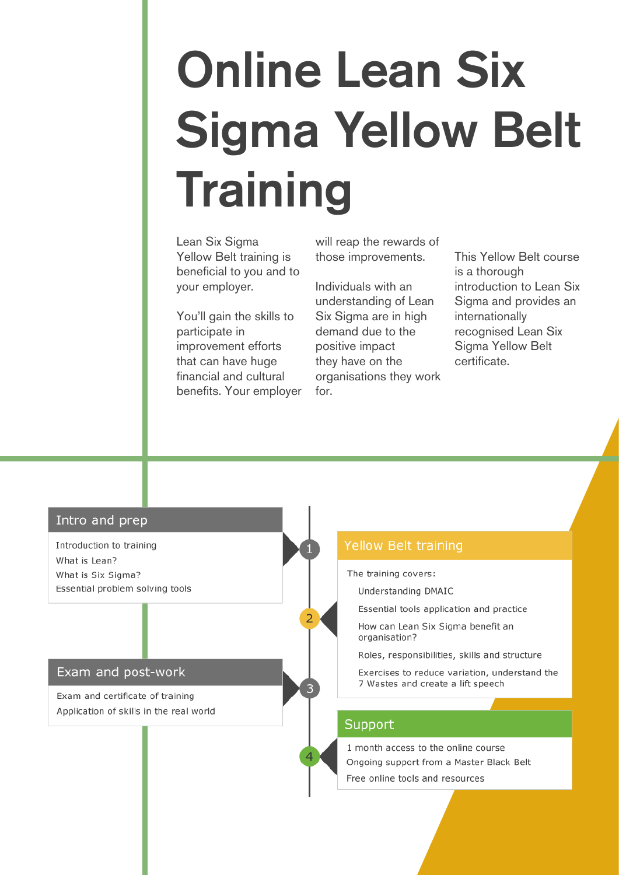# **Online Lean Six Sigma Yellow Belt Training**

Lean Six Sigma Yellow Belt training is beneficial to you and to your employer.

You'll gain the skills to participate in improvement efforts that can have huge financial and cultural benefits. Your employer will reap the rewards of those improvements.

Individuals with an understanding of Lean Six Sigma are in high demand due to the positive impact they have on the organisations they work for.

This Yellow Belt course is a thorough introduction to Lean Six Sigma and provides an internationally recognised Lean Six Sigma Yellow Belt certificate.

### Intro and prep

Introduction to training What is Lean? What is Six Sigma? Essential problem solving tools

### Exam and post-work

Exam and certificate of training Application of skills in the real world

### **Yellow Belt training**

The training covers:

Understanding DMAIC

Essential tools application and practice

How can Lean Six Sigma benefit an organisation?

Roles, responsibilities, skills and structure

Exercises to reduce variation, understand the 7 Wastes and create a lift speech

### Support

1 month access to the online course Ongoing support from a Master Black Belt Free online tools and resources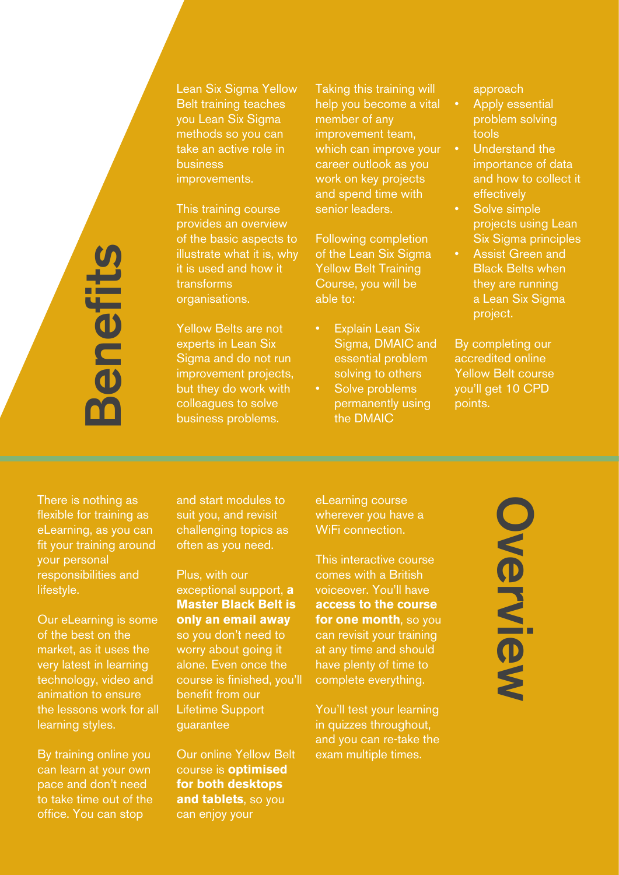Lean Six Sigma Yellow Belt training teaches you Lean Six Sigma methods so you can take an active role in business improvements.

This training course provides an overview of the basic aspects to illustrate what it is, why it is used and how it transforms organisations.

Yellow Belts are not experts in Lean Six Sigma and do not run improvement projects, but they do work with colleagues to solve business problems.

Taking this training will help you become a vital member of any improvement team, which can improve your career outlook as you work on key projects and spend time with senior leaders.

Following completion of the Lean Six Sigma Yellow Belt Training Course, you will be able to:

- **Explain Lean Six** Sigma, DMAIC and essential problem solving to others
- Solve problems permanently using the DMAIC

approach

- Apply essential problem solving tools
- Understand the importance of data and how to collect it effectively
	- Solve simple projects using Lean Six Sigma principles
	- Assist Green and Black Belts when they are running a Lean Six Sigma project.

By completing our accredited online Yellow Belt course you'll get 10 CPD points.

There is nothing as flexible for training as eLearning, as you can fit your training around your personal responsibilities and lifestyle.

**Benefits**

enefil

Our eLearning is some of the best on the market, as it uses the very latest in learning technology, video and animation to ensure the lessons work for all learning styles.

By training online you can learn at your own pace and don't need to take time out of the office. You can stop

and start modules to suit you, and revisit challenging topics as often as you need.

Plus, with our exceptional support, **a Master Black Belt is only an email away** so you don't need to worry about going it alone. Even once the course is finished, you'll benefit from our Lifetime Support guarantee

Our online Yellow Belt course is **optimised for both desktops and tablets**, so you can enjoy your

eLearning course wherever you have a WiFi connection.

This interactive course comes with a British voiceover. You'll have **access to the course for one month**, so you can revisit your training at any time and should have plenty of time to complete everything.

You'll test your learning in quizzes throughout, and you can re-take the exam multiple times.

# **OverviewOverview**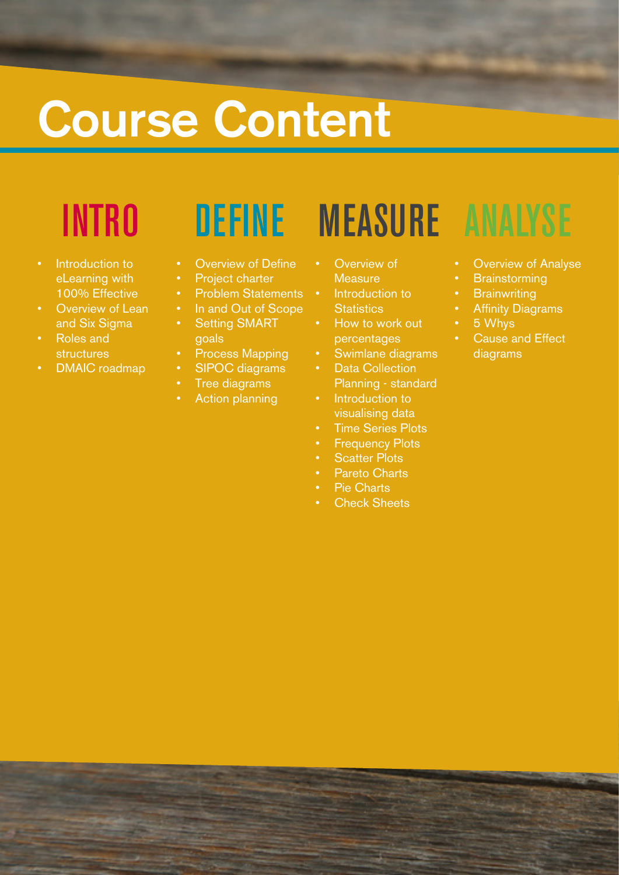# **Course Content**

- Introduction to eLearning with 100% Effective
- Overview of Lean and Six Sigma
- Roles and structures
- DMAIC roadmap

- **Overview of Define**
- Project charter
- Problem Statements
- In and Out of Scope
- **Setting SMART** goals
- Process Mapping
- SIPOC diagrams
- Tree diagrams
- **Action planning**

### INTRO DEFINE MEASURE ANALYSE

- **Overview of Measure**
- Introduction to **Statistics**
- How to work out percentages
- Swimlane diagrams
- Data Collection Planning - standard
- Introduction to visualising data
- **Time Series Plots**
- **Frequency Plots**
- **Scatter Plots**
- Pareto Charts
- Pie Charts
- **Check Sheets**

- **Overview of Analyse**
- **Brainstorming**
- **Brainwriting**
- **Affinity Diagrams**
- 5 Whys
- **Cause and Effect** diagrams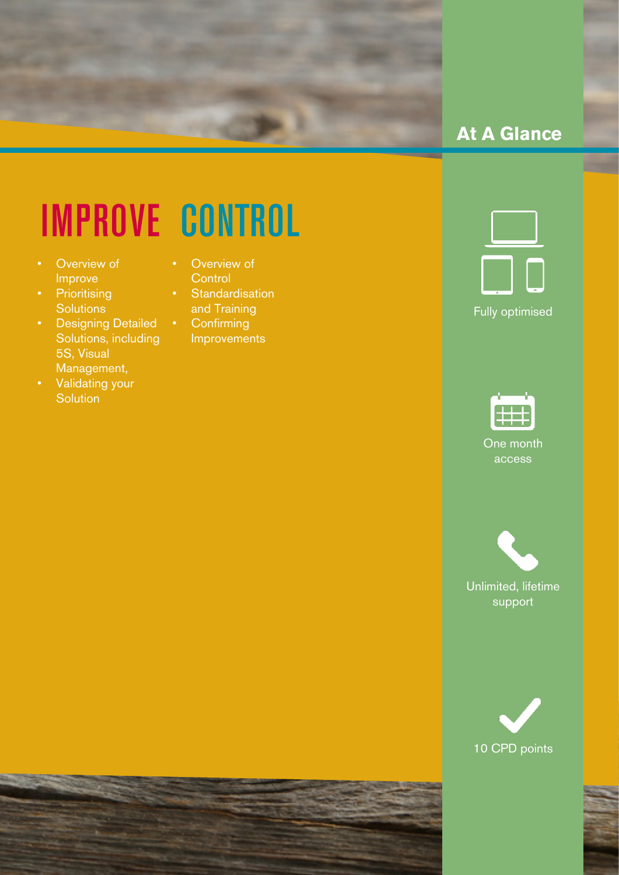

### **At A Glance**

## IMPROVE CONTROL

- Overview of Improve
- Prioritising **Solutions**
- Designing Detailed Solutions, including 5S, Visual Management,
- Validating your **Solution**
- **Overview of Control**
- Standardisation and Training
- Confirming Improvements





support